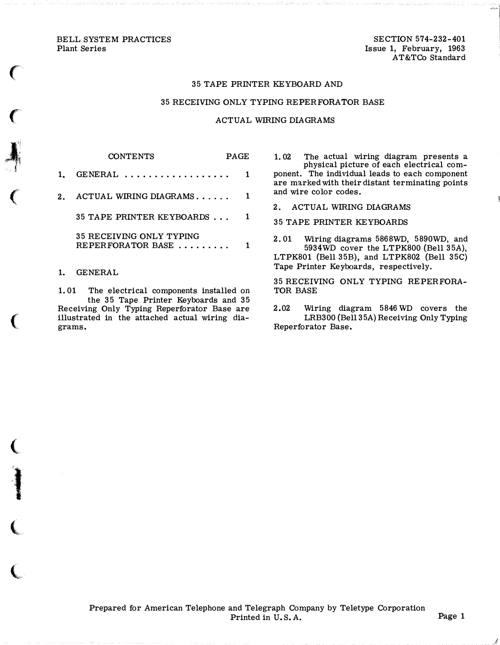BELL SYSTEM PRACTICES Plant Series

 $\big($ 

 $\big($ 

 $\big($ 

(

:I

 $\big($ 

 $\big($ 

SECTION 574-232-401 Issue 1, February, 1963 AT&TCo Standard

## 35 TAPE PRINTER KEYBOARD AND

## 35 RECEIVING ONLY TYPING REPERFORATOR BASE

## ACTUAL WIRING DIAGRAMS

CONTENTS PAGE 1. GENERAL .................. 1 2. ACTUAL WIRING DIAGRAMS...... 1 35 TAPE PRINTER KEYBOARDS ... 1 35 RECEIVING ONLY TYPING REPERFORATOR BASE ........ 1

1. GENERAL

1. 01 The electrical components installed on the 35 Tape Printer Keyboards and 35 Receiving Only Typing Reperforator Base are illustrated in the attached actual wiring diagrams.

1. 02 The actual wiring diagram presents a physical picture of each electrical component. The individual leads to each component are marked with their distant terminating points and wire color codes.

2. ACTUAL WIRING DIAGRAMS

35 TAPE PRINTER KEYBOARDS

2. 01 Wiring diagrams 5868WD, 5890WD, and 5934WD cover the LTPK800 {Bell 35A), LTPK801 {Bell 35B), and LTPK802 {Bell 35C) Tape Printer Keyboards, respectively.

35 RECEIVING ONLY TYPING REPERFORA-TOR BASE

2.02 Wiring diagram 5846 WD covers the LRB300 {Bell 35A) Receiving Only Typing Reperforator Base.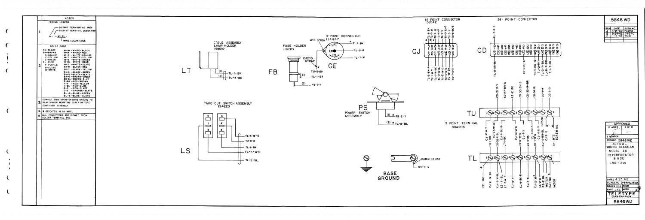|                | <b>NOTES</b><br>WIRING LEGEND                                                                                                                                                                                                                                                                                                                                                                                      |    |                                                                              |
|----------------|--------------------------------------------------------------------------------------------------------------------------------------------------------------------------------------------------------------------------------------------------------------------------------------------------------------------------------------------------------------------------------------------------------------------|----|------------------------------------------------------------------------------|
| $\mathbf{l}$ . | - DISTANT TERMINATING AREA<br>- DISTANT TERMINAL DESIGNATION<br>$A - I - W - BL$                                                                                                                                                                                                                                                                                                                                   |    |                                                                              |
|                | LWIRE COLOR CODE                                                                                                                                                                                                                                                                                                                                                                                                   |    | CABLE ASS                                                                    |
| 2.             | COLOR CODE<br><b>BK-BLACK</b><br>W-BK-WHITE-BLACK<br>BR-BROWN<br>$W-R$ -WHITE-RED<br><b>O-ORANGE</b><br>$W-O - WHITE-ORANGE$<br>$W-Y - WHITE - YELLOW$<br>Y-YELLOW<br><b>G-GREEN</b><br>W-G -WHITE-GREEN<br>W-BL-WHITE-BLUE<br><b>BL-BLUE</b><br>$W-S$ -WHITE-SLATE<br>P-PURPLE<br>$BK-R - BLACK - RED$<br>S-SLATE<br>BK-Y -BLACK-YELLOW<br>W-WHITE<br>BK-G -BLACK-GREEN<br>BK-S-BLACK-SLATE<br>BR-G - BROWN-GREEN |    | LAMP HOLD<br>159592<br>$\frac{(\mathsf{I})}{\mathsf{I}}$<br>(2)              |
|                | BR-BL-BROWN-BLUE<br>R-BR-RED-BROWN<br>$9-Y - RED-YELLOW$<br>$R-BL - RED-BLUE$<br>$R-S - RED-SLATE$<br>O-S - ORANGE-SLATE<br>BL-G-BLUE-GREEN<br>BL-S-BLUE-SLATE<br>CONNECT 151819 STRAP ON BASE GROUND TO<br>3. REAR SPACER MOUNTING SCREW ON TAPE<br>CONTAINER ASSEMBLY.                                                                                                                                           |    | ΤU<br>TAPE OUT SWITC<br>194220                                               |
|                | 4. X INDICATES 18 GA. WIRE.                                                                                                                                                                                                                                                                                                                                                                                        |    |                                                                              |
|                | 5. ALL CONNECTORS ARE VIEWED FROM<br>SOLDER TERMINAL END.                                                                                                                                                                                                                                                                                                                                                          | LS | 6<br>$\overline{\mathbf{3}}$<br>$\ddot{ }$<br>$\mathbf{z}$<br>5 <sub>5</sub> |
|                |                                                                                                                                                                                                                                                                                                                                                                                                                    |    |                                                                              |
|                |                                                                                                                                                                                                                                                                                                                                                                                                                    |    |                                                                              |
|                |                                                                                                                                                                                                                                                                                                                                                                                                                    |    |                                                                              |
|                |                                                                                                                                                                                                                                                                                                                                                                                                                    |    |                                                                              |
|                |                                                                                                                                                                                                                                                                                                                                                                                                                    |    |                                                                              |
|                |                                                                                                                                                                                                                                                                                                                                                                                                                    |    |                                                                              |

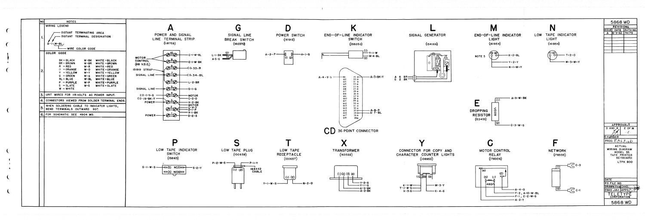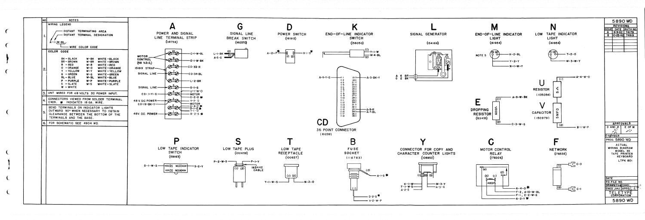